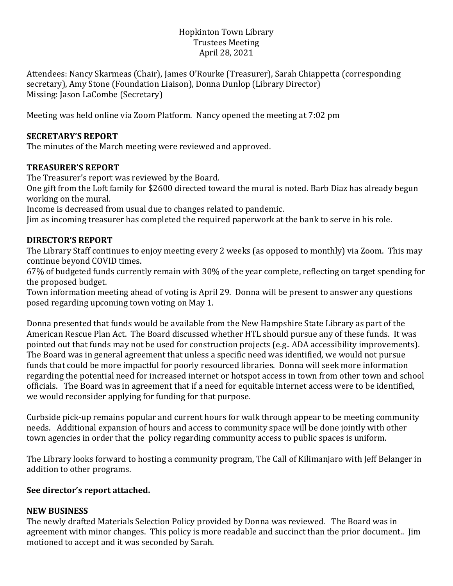## Hopkinton Town Library Trustees Meeting April 28, 2021

Attendees: Nancy Skarmeas (Chair), James O'Rourke (Treasurer), Sarah Chiappetta (corresponding secretary), Amy Stone (Foundation Liaison), Donna Dunlop (Library Director) Missing: Jason LaCombe (Secretary)

Meeting was held online via Zoom Platform. Nancy opened the meeting at 7:02 pm

## **SECRETARY'S REPORT**

The minutes of the March meeting were reviewed and approved.

## **TREASURER'S REPORT**

The Treasurer's report was reviewed by the Board.

One gift from the Loft family for \$2600 directed toward the mural is noted. Barb Diaz has already begun working on the mural.

Income is decreased from usual due to changes related to pandemic.

Jim as incoming treasurer has completed the required paperwork at the bank to serve in his role.

# **DIRECTOR'S REPORT**

The Library Staff continues to enjoy meeting every 2 weeks (as opposed to monthly) via Zoom. This may continue beyond COVID times.

67% of budgeted funds currently remain with 30% of the year complete, reflecting on target spending for the proposed budget.

Town information meeting ahead of voting is April 29. Donna will be present to answer any questions posed regarding upcoming town voting on May 1.

Donna presented that funds would be available from the New Hampshire State Library as part of the American Rescue Plan Act. The Board discussed whether HTL should pursue any of these funds. It was pointed out that funds may not be used for construction projects (e.g.. ADA accessibility improvements). The Board was in general agreement that unless a specific need was identified, we would not pursue funds that could be more impactful for poorly resourced libraries. Donna will seek more information regarding the potential need for increased internet or hotspot access in town from other town and school officials. The Board was in agreement that if a need for equitable internet access were to be identified, we would reconsider applying for funding for that purpose.

Curbside pick-up remains popular and current hours for walk through appear to be meeting community needs. Additional expansion of hours and access to community space will be done jointly with other town agencies in order that the policy regarding community access to public spaces is uniform.

The Library looks forward to hosting a community program, The Call of Kilimanjaro with Jeff Belanger in addition to other programs.

### **See director's report attached.**

### **NEW BUSINESS**

The newly drafted Materials Selection Policy provided by Donna was reviewed. The Board was in agreement with minor changes. This policy is more readable and succinct than the prior document.. Jim motioned to accept and it was seconded by Sarah.